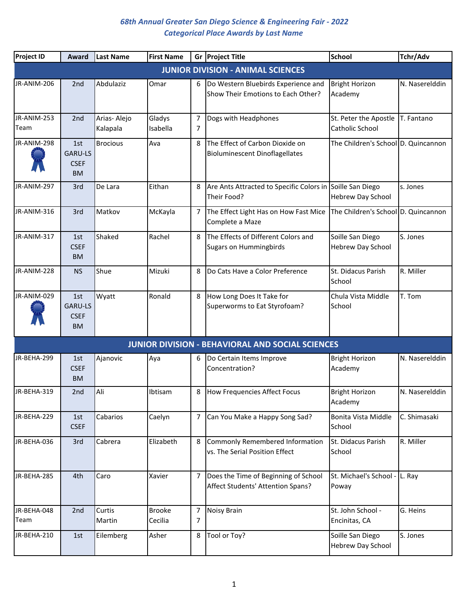| Project ID          | Award                                             | Last Name               | <b>First Name</b>        | Gr             | <b>Project Title</b>                                                      | <b>School</b>                                | Tchr/Adv       |
|---------------------|---------------------------------------------------|-------------------------|--------------------------|----------------|---------------------------------------------------------------------------|----------------------------------------------|----------------|
|                     |                                                   |                         |                          |                | <b>JUNIOR DIVISION - ANIMAL SCIENCES</b>                                  |                                              |                |
| JR-ANIM-206         | 2 <sub>nd</sub>                                   | Abdulaziz               | Omar                     | 6              | Do Western Bluebirds Experience and<br>Show Their Emotions to Each Other? | <b>Bright Horizon</b><br>Academy             | N. Naserelddin |
| JR-ANIM-253<br>Team | 2nd                                               | Arias-Alejo<br>Kalapala | Gladys<br>Isabella       | 7<br>7         | Dogs with Headphones                                                      | St. Peter the Apostle<br>Catholic School     | T. Fantano     |
| JR-ANIM-298         | 1st<br><b>GARU-LS</b><br><b>CSEF</b><br><b>BM</b> | <b>Brocious</b>         | Ava                      | 8              | The Effect of Carbon Dioxide on<br><b>Bioluminescent Dinoflagellates</b>  | The Children's School D. Quincannon          |                |
| JR-ANIM-297         | 3rd                                               | De Lara                 | Eithan                   | 8              | Are Ants Attracted to Specific Colors in Soille San Diego<br>Their Food?  | Hebrew Day School                            | s. Jones       |
| JR-ANIM-316         | 3rd                                               | Matkov                  | McKayla                  | 7              | The Effect Light Has on How Fast Mice<br>Complete a Maze                  | The Children's School D. Quincannon          |                |
| JR-ANIM-317         | 1st<br><b>CSEF</b><br><b>BM</b>                   | Shaked                  | Rachel                   | 8              | The Effects of Different Colors and<br><b>Sugars on Hummingbirds</b>      | Soille San Diego<br><b>Hebrew Day School</b> | S. Jones       |
| JR-ANIM-228         | <b>NS</b>                                         | Shue                    | Mizuki                   | 8              | Do Cats Have a Color Preference                                           | St. Didacus Parish<br>School                 | R. Miller      |
| JR-ANIM-029         | 1st<br><b>GARU-LS</b><br><b>CSEF</b><br><b>BM</b> | Wyatt                   | Ronald                   | 8              | How Long Does It Take for<br>Superworms to Eat Styrofoam?                 | Chula Vista Middle<br>School                 | T. Tom         |
|                     |                                                   |                         |                          |                | <b>JUNIOR DIVISION - BEHAVIORAL AND SOCIAL SCIENCES</b>                   |                                              |                |
| JR-BEHA-299         | 1st<br><b>CSEF</b><br><b>BM</b>                   | Ajanovic                | Aya                      | 6              | Do Certain Items Improve<br>Concentration?                                | <b>Bright Horizon</b><br>Academy             | N. Naserelddin |
| JR-BEHA-319         | 2nd                                               | Ali                     | Ibtisam                  | 8              | How Frequencies Affect Focus                                              | <b>Bright Horizon</b><br>Academy             | N. Naserelddin |
| JR-BEHA-229         | 1st<br><b>CSEF</b>                                | Cabarios                | Caelyn                   | $\overline{7}$ | Can You Make a Happy Song Sad?                                            | Bonita Vista Middle<br>School                | C. Shimasaki   |
| JR-BEHA-036         | 3rd                                               | Cabrera                 | Elizabeth                | 8              | Commonly Remembered Information<br>vs. The Serial Position Effect         | St. Didacus Parish<br>School                 | R. Miller      |
| JR-BEHA-285         | 4th                                               | Caro                    | Xavier                   | $\overline{7}$ | Does the Time of Beginning of School<br>Affect Students' Attention Spans? | St. Michael's School -<br>Poway              | L. Ray         |
| JR-BEHA-048<br>Team | 2nd                                               | Curtis<br>Martin        | <b>Brooke</b><br>Cecilia | 7<br>7         | Noisy Brain                                                               | St. John School -<br>Encinitas, CA           | G. Heins       |
| JR-BEHA-210         | 1st                                               | Eilemberg               | Asher                    | 8              | Tool or Toy?                                                              | Soille San Diego<br><b>Hebrew Day School</b> | S. Jones       |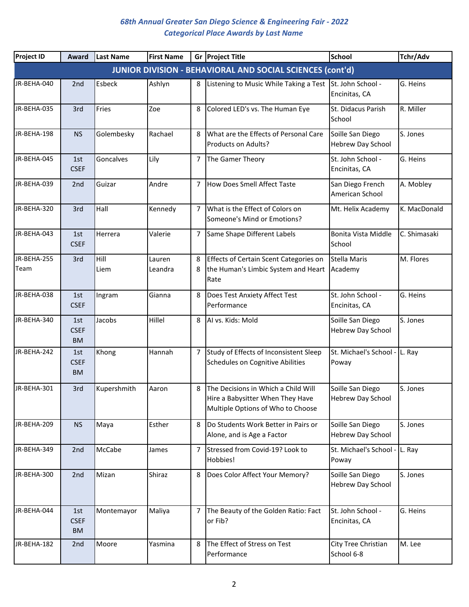| <b>Project ID</b>   | Award                           | <b>Last Name</b> | <b>First Name</b> |                | Gr Project Title                                                                                             | <b>School</b>                          | Tchr/Adv     |
|---------------------|---------------------------------|------------------|-------------------|----------------|--------------------------------------------------------------------------------------------------------------|----------------------------------------|--------------|
|                     |                                 |                  |                   |                | <b>JUNIOR DIVISION - BEHAVIORAL AND SOCIAL SCIENCES (cont'd)</b>                                             |                                        |              |
| JR-BEHA-040         | 2 <sub>nd</sub>                 | Esbeck           | Ashlyn            | 8              | Listening to Music While Taking a Test St. John School -                                                     | Encinitas, CA                          | G. Heins     |
| JR-BEHA-035         | 3rd                             | Fries            | Zoe               | 8              | Colored LED's vs. The Human Eye                                                                              | St. Didacus Parish<br>School           | R. Miller    |
| JR-BEHA-198         | <b>NS</b>                       | Golembesky       | Rachael           | 8              | What are the Effects of Personal Care<br>Products on Adults?                                                 | Soille San Diego<br>Hebrew Day School  | S. Jones     |
| JR-BEHA-045         | 1st<br><b>CSEF</b>              | Goncalves        | Lily              | 7              | The Gamer Theory                                                                                             | St. John School -<br>Encinitas, CA     | G. Heins     |
| JR-BEHA-039         | 2nd                             | Guizar           | Andre             | 7              | How Does Smell Affect Taste                                                                                  | San Diego French<br>American School    | A. Mobley    |
| JR-BEHA-320         | 3rd                             | Hall             | Kennedy           | $\overline{7}$ | What is the Effect of Colors on<br>Someone's Mind or Emotions?                                               | Mt. Helix Academy                      | K. MacDonald |
| JR-BEHA-043         | 1st<br><b>CSEF</b>              | Herrera          | Valerie           | 7              | Same Shape Different Labels                                                                                  | Bonita Vista Middle<br>School          | C. Shimasaki |
| JR-BEHA-255<br>Team | 3rd                             | Hill<br>Liem     | Lauren<br>Leandra | 8              | Effects of Certain Scent Categories on<br>the Human's Limbic System and Heart<br>Rate                        | <b>Stella Maris</b><br>Academy         | M. Flores    |
| JR-BEHA-038         | 1st<br><b>CSEF</b>              | Ingram           | Gianna            | 8              | Does Test Anxiety Affect Test<br>Performance                                                                 | St. John School -<br>Encinitas, CA     | G. Heins     |
| JR-BEHA-340         | 1st<br><b>CSEF</b><br><b>BM</b> | Jacobs           | Hillel            | 8              | Al vs. Kids: Mold                                                                                            | Soille San Diego<br>Hebrew Day School  | S. Jones     |
| JR-BEHA-242         | 1st<br><b>CSEF</b><br><b>BM</b> | Khong            | Hannah            | 7              | Study of Effects of Inconsistent Sleep<br>Schedules on Cognitive Abilities                                   | St. Michael's School -<br>Poway        | L. Ray       |
| JR-BEHA-301         | 3rd                             | Kupershmith      | Aaron             | 8              | The Decisions in Which a Child Will<br>Hire a Babysitter When They Have<br>Multiple Options of Who to Choose | Soille San Diego<br>Hebrew Day School  | S. Jones     |
| JR-BEHA-209         | <b>NS</b>                       | Maya             | Esther            | 8              | Do Students Work Better in Pairs or<br>Alone, and is Age a Factor                                            | Soille San Diego<br>Hebrew Day School  | S. Jones     |
| JR-BEHA-349         | 2nd                             | McCabe           | James             | 7              | Stressed from Covid-19? Look to<br>Hobbies!                                                                  | St. Michael's School - L. Ray<br>Poway |              |
| JR-BEHA-300         | 2nd                             | Mizan            | Shiraz            | 8              | Does Color Affect Your Memory?                                                                               | Soille San Diego<br>Hebrew Day School  | S. Jones     |
| JR-BEHA-044         | 1st<br><b>CSEF</b><br><b>BM</b> | Montemayor       | Maliya            | 7              | The Beauty of the Golden Ratio: Fact<br>or Fib?                                                              | St. John School -<br>Encinitas, CA     | G. Heins     |
| JR-BEHA-182         | 2nd                             | Moore            | Yasmina           | 8              | The Effect of Stress on Test<br>Performance                                                                  | City Tree Christian<br>School 6-8      | M. Lee       |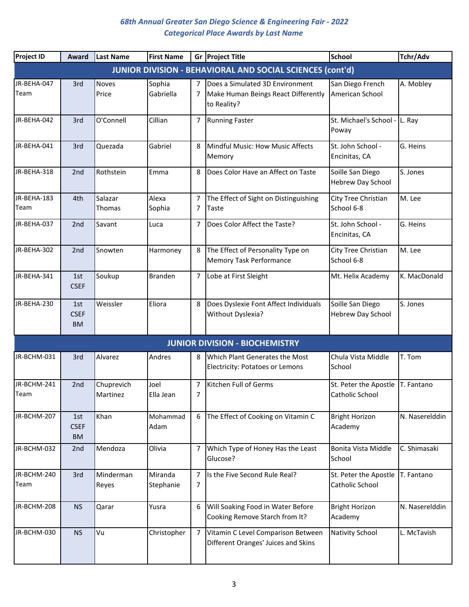| <b>Project ID</b>   | Award                           | <b>Last Name</b>       | <b>First Name</b>    |                     | Gr Project Title                                                                      | <b>School</b>                                         | Tchr/Adv       |
|---------------------|---------------------------------|------------------------|----------------------|---------------------|---------------------------------------------------------------------------------------|-------------------------------------------------------|----------------|
|                     |                                 |                        |                      |                     | <b>JUNIOR DIVISION - BEHAVIORAL AND SOCIAL SCIENCES (cont'd)</b>                      |                                                       |                |
| JR-BEHA-047<br>Team | 3rd                             | <b>Noves</b><br>Price  | Sophia<br>Gabriella  | 7                   | Does a Simulated 3D Environment<br>Make Human Beings React Differently<br>to Reality? | San Diego French<br>American School                   | A. Mobley      |
| JR-BEHA-042         | 3rd                             | O'Connell              | Cillian              | 7                   | <b>Running Faster</b>                                                                 | St. Michael's School -<br>Poway                       | L. Ray         |
| JR-BEHA-041         | 3rd                             | Quezada                | Gabriel              | 8                   | Mindful Music: How Music Affects<br>Memory                                            | St. John School -<br>Encinitas, CA                    | G. Heins       |
| JR-BEHA-318         | 2nd                             | Rothstein              | Emma                 | 8                   | Does Color Have an Affect on Taste                                                    | Soille San Diego<br>Hebrew Day School                 | S. Jones       |
| JR-BEHA-183<br>Team | 4th                             | Salazar<br>Thomas      | Alexa<br>Sophia      | 7<br>7              | The Effect of Sight on Distinguishing<br>Taste                                        | City Tree Christian<br>School 6-8                     | M. Lee         |
| JR-BEHA-037         | 2nd                             | Savant                 | Luca                 | 7                   | Does Color Affect the Taste?                                                          | St. John School -<br>Encinitas, CA                    | G. Heins       |
| JR-BEHA-302         | 2 <sub>nd</sub>                 | Snowten                | Harmoney             | 8                   | The Effect of Personality Type on<br>Memory Task Performance                          | City Tree Christian<br>School 6-8                     | M. Lee         |
| JR-BEHA-341         | 1st<br><b>CSEF</b>              | Soukup                 | <b>Branden</b>       | $\overline{7}$      | Lobe at First Sleight                                                                 | Mt. Helix Academy                                     | K. MacDonald   |
| JR-BEHA-230         | 1st<br><b>CSEF</b><br><b>BM</b> | Weissler               | Eliora               | 8                   | Does Dyslexie Font Affect Individuals<br>Without Dyslexia?                            | Soille San Diego<br><b>Hebrew Day School</b>          | S. Jones       |
|                     |                                 |                        |                      |                     | <b>JUNIOR DIVISION - BIOCHEMISTRY</b>                                                 |                                                       |                |
| JR-BCHM-031         | 3rd                             | Alvarez                | Andres               | 8                   | Which Plant Generates the Most<br><b>Electricity: Potatoes or Lemons</b>              | Chula Vista Middle<br>School                          | T. Tom         |
| JR-BCHM-241<br>Team | 2nd                             | Chuprevich<br>Martinez | Joel<br>Ella Jean    | 7<br>$\overline{7}$ | Kitchen Full of Germs                                                                 | St. Peter the Apostle   T. Fantano<br>Catholic School |                |
| JR-BCHM-207         | 1st<br><b>CSEF</b><br><b>BM</b> | Khan                   | Mohammad<br>Adam     | 6                   | The Effect of Cooking on Vitamin C                                                    | <b>Bright Horizon</b><br>Academy                      | N. Naserelddin |
| JR-BCHM-032         | 2nd                             | Mendoza                | Olivia               | 7                   | Which Type of Honey Has the Least<br>Glucose?                                         | Bonita Vista Middle<br>School                         | C. Shimasaki   |
| JR-BCHM-240<br>Team | 3rd                             | Minderman<br>Reyes     | Miranda<br>Stephanie | $\overline{7}$<br>7 | Is the Five Second Rule Real?                                                         | St. Peter the Apostle<br>Catholic School              | T. Fantano     |
| JR-BCHM-208         | <b>NS</b>                       | Qarar                  | Yusra                | 6                   | Will Soaking Food in Water Before<br>Cooking Remove Starch from It?                   | <b>Bright Horizon</b><br>Academy                      | N. Naserelddin |
| JR-BCHM-030         | <b>NS</b>                       | Vu                     | Christopher          | $\overline{7}$      | Vitamin C Level Comparison Between<br>Different Oranges' Juices and Skins             | <b>Nativity School</b>                                | L. McTavish    |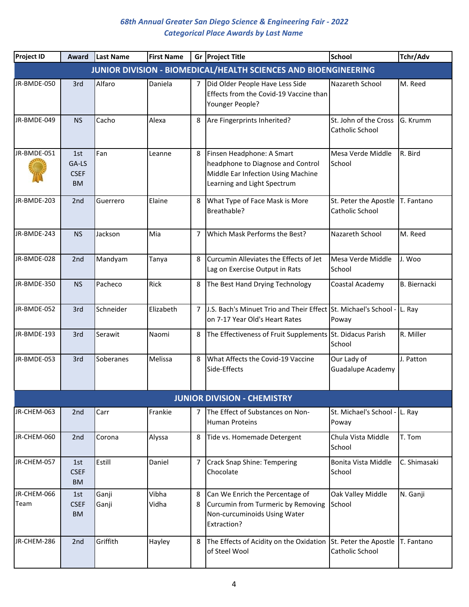| <b>Project ID</b> | <b>Award</b>                             | Last Name | <b>First Name</b> |                | Gr Project Title                                                                                                                    | <b>School</b>                            | Tchr/Adv            |
|-------------------|------------------------------------------|-----------|-------------------|----------------|-------------------------------------------------------------------------------------------------------------------------------------|------------------------------------------|---------------------|
|                   |                                          |           |                   |                | JUNIOR DIVISION - BIOMEDICAL/HEALTH SCIENCES AND BIOENGINEERING                                                                     |                                          |                     |
| JR-BMDE-050       | 3rd                                      | Alfaro    | Daniela           | $\overline{7}$ | Did Older People Have Less Side<br>Effects from the Covid-19 Vaccine than<br>Younger People?                                        | Nazareth School                          | M. Reed             |
| JR-BMDE-049       | <b>NS</b>                                | Cacho     | Alexa             | 8              | Are Fingerprints Inherited?                                                                                                         | St. John of the Cross<br>Catholic School | G. Krumm            |
| JR-BMDE-051       | 1st<br>GA-LS<br><b>CSEF</b><br><b>BM</b> | Fan       | Leanne            | 8              | Finsen Headphone: A Smart<br>headphone to Diagnose and Control<br>Middle Ear Infection Using Machine<br>Learning and Light Spectrum | Mesa Verde Middle<br>School              | R. Bird             |
| JR-BMDE-203       | 2nd                                      | Guerrero  | Elaine            | 8              | What Type of Face Mask is More<br>Breathable?                                                                                       | St. Peter the Apostle<br>Catholic School | T. Fantano          |
| JR-BMDE-243       | <b>NS</b>                                | Jackson   | Mia               | 7              | Which Mask Performs the Best?                                                                                                       | Nazareth School                          | M. Reed             |
| JR-BMDE-028       | 2nd                                      | Mandyam   | Tanya             | 8              | Curcumin Alleviates the Effects of Jet<br>Lag on Exercise Output in Rats                                                            | Mesa Verde Middle<br>School              | J. Woo              |
| JR-BMDE-350       | <b>NS</b>                                | Pacheco   | Rick              | 8              | The Best Hand Drying Technology                                                                                                     | Coastal Academy                          | <b>B.</b> Biernacki |
| JR-BMDE-052       | 3rd                                      | Schneider | Elizabeth         | 7              | J.S. Bach's Minuet Trio and Their Effect St. Michael's School - L. Ray<br>on 7-17 Year Old's Heart Rates                            | Poway                                    |                     |
| JR-BMDE-193       | 3rd                                      | Serawit   | Naomi             | 8              | The Effectiveness of Fruit Supplements St. Didacus Parish                                                                           | School                                   | R. Miller           |
| JR-BMDE-053       | 3rd                                      | Soberanes | Melissa           | 8              | What Affects the Covid-19 Vaccine<br>Side-Effects                                                                                   | Our Lady of<br><b>Guadalupe Academy</b>  | J. Patton           |
|                   |                                          |           |                   |                | <b>JUNIOR DIVISION - CHEMISTRY</b>                                                                                                  |                                          |                     |
| JR-CHEM-063       | 2nd                                      | Carr      | Frankie           | 7              | The Effect of Substances on Non-<br><b>Human Proteins</b>                                                                           | St. Michael's School - L. Ray<br>Poway   |                     |
| JR-CHEM-060       | 2nd                                      | Corona    | Alyssa            | 8              | Tide vs. Homemade Detergent                                                                                                         | Chula Vista Middle<br>School             | T. Tom              |
| JR-CHEM-057       | 1st<br><b>CSEF</b><br><b>BM</b>          | Estill    | Daniel            | 7              | Crack Snap Shine: Tempering<br>Chocolate                                                                                            | Bonita Vista Middle<br>School            | C. Shimasaki        |
| JR-CHEM-066       | 1st                                      | Ganji     | Vibha             | 8              | Can We Enrich the Percentage of                                                                                                     | Oak Valley Middle                        | N. Ganji            |
| Team              | <b>CSEF</b><br><b>BM</b>                 | Ganji     | Vidha             | 8              | Curcumin from Turmeric by Removing<br>Non-curcuminoids Using Water<br>Extraction?                                                   | School                                   |                     |
| JR-CHEM-286       | 2nd                                      | Griffith  | Hayley            | 8              | The Effects of Acidity on the Oxidation<br>of Steel Wool                                                                            | St. Peter the Apostle<br>Catholic School | T. Fantano          |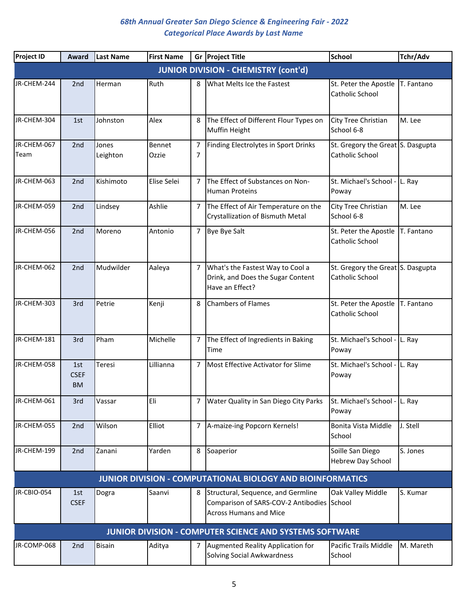| <b>Project ID</b>   | Award                           | <b>Last Name</b>  | <b>First Name</b> |                | Gr Project Title                                                                                                  | <b>School</b>                                        | Tchr/Adv   |
|---------------------|---------------------------------|-------------------|-------------------|----------------|-------------------------------------------------------------------------------------------------------------------|------------------------------------------------------|------------|
|                     |                                 |                   |                   |                | <b>JUNIOR DIVISION - CHEMISTRY (cont'd)</b>                                                                       |                                                      |            |
| JR-CHEM-244         | 2nd                             | Herman            | Ruth              | 8              | What Melts Ice the Fastest                                                                                        | St. Peter the Apostle<br>Catholic School             | T. Fantano |
| JR-CHEM-304         | 1st                             | Johnston          | Alex              | 8              | The Effect of Different Flour Types on<br><b>Muffin Height</b>                                                    | City Tree Christian<br>School 6-8                    | M. Lee     |
| JR-CHEM-067<br>Team | 2nd                             | Jones<br>Leighton | Bennet<br>Ozzie   | 7<br>7         | Finding Electrolytes in Sport Drinks                                                                              | St. Gregory the Great S. Dasgupta<br>Catholic School |            |
| JR-CHEM-063         | 2nd                             | Kishimoto         | Elise Selei       | $\overline{7}$ | The Effect of Substances on Non-<br><b>Human Proteins</b>                                                         | St. Michael's School - L. Ray<br>Poway               |            |
| JR-CHEM-059         | 2nd                             | Lindsey           | Ashlie            | $\overline{7}$ | The Effect of Air Temperature on the<br><b>Crystallization of Bismuth Metal</b>                                   | City Tree Christian<br>School 6-8                    | M. Lee     |
| JR-CHEM-056         | 2nd                             | Moreno            | Antonio           | $\overline{7}$ | Bye Bye Salt                                                                                                      | St. Peter the Apostle<br>Catholic School             | T. Fantano |
| JR-CHEM-062         | 2nd                             | Mudwilder         | Aaleya            | $\overline{7}$ | What's the Fastest Way to Cool a<br>Drink, and Does the Sugar Content<br>Have an Effect?                          | St. Gregory the Great S. Dasgupta<br>Catholic School |            |
| JR-CHEM-303         | 3rd                             | Petrie            | Kenji             | 8              | <b>Chambers of Flames</b>                                                                                         | St. Peter the Apostle<br>Catholic School             | T. Fantano |
| JR-CHEM-181         | 3rd                             | Pham              | Michelle          | 7              | The Effect of Ingredients in Baking<br>Time                                                                       | St. Michael's School - L. Ray<br>Poway               |            |
| JR-CHEM-058         | 1st<br><b>CSEF</b><br><b>BM</b> | Teresi            | Lillianna         | $\overline{7}$ | Most Effective Activator for Slime                                                                                | St. Michael's School - L. Ray<br>Poway               |            |
| JR-CHEM-061         | 3rd                             | Vassar            | Eli               | $\overline{7}$ | Water Quality in San Diego City Parks                                                                             | St. Michael's School - L. Ray<br>Poway               |            |
| JR-CHEM-055         | 2nd                             | Wilson            | Elliot            | 7              | A-maize-ing Popcorn Kernels!                                                                                      | Bonita Vista Middle<br>School                        | J. Stell   |
| JR-CHEM-199         | 2nd                             | Zanani            | Yarden            | 8              | Soaperior                                                                                                         | Soille San Diego<br>Hebrew Day School                | S. Jones   |
|                     |                                 |                   |                   |                | <b>JUNIOR DIVISION - COMPUTATIONAL BIOLOGY AND BIOINFORMATICS</b>                                                 |                                                      |            |
| JR-CBIO-054         | 1st<br><b>CSEF</b>              | Dogra             | Saanvi            | 8              | Structural, Sequence, and Germline<br>Comparison of SARS-COV-2 Antibodies School<br><b>Across Humans and Mice</b> | Oak Valley Middle                                    | S. Kumar   |
|                     |                                 |                   |                   |                | <b>JUNIOR DIVISION - COMPUTER SCIENCE AND SYSTEMS SOFTWARE</b>                                                    |                                                      |            |
| JR-COMP-068         | 2 <sub>nd</sub>                 | <b>Bisain</b>     | Aditya            | 7              | Augmented Reality Application for<br>Solving Social Awkwardness                                                   | Pacific Trails Middle<br>School                      | M. Mareth  |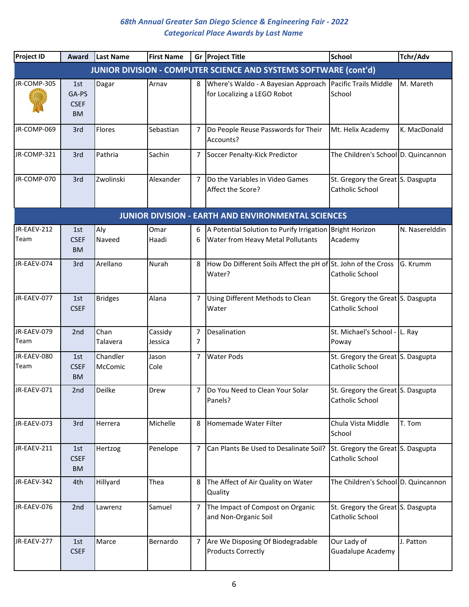| <b>Project ID</b>   | Award                                    | Last Name           | <b>First Name</b>  |                | Gr Project Title                                                                              | <b>School</b>                                        | Tchr/Adv       |
|---------------------|------------------------------------------|---------------------|--------------------|----------------|-----------------------------------------------------------------------------------------------|------------------------------------------------------|----------------|
|                     |                                          |                     |                    |                | <b>JUNIOR DIVISION - COMPUTER SCIENCE AND SYSTEMS SOFTWARE (cont'd)</b>                       |                                                      |                |
| JR-COMP-305         | 1st<br>GA-PS<br><b>CSEF</b><br><b>BM</b> | Dagar               | Arnav              | 8              | Where's Waldo - A Bayesian Approach<br>for Localizing a LEGO Robot                            | Pacific Trails Middle<br>School                      | M. Mareth      |
| JR-COMP-069         | 3rd                                      | Flores              | Sebastian          | 7              | Do People Reuse Passwords for Their<br>Accounts?                                              | Mt. Helix Academy                                    | K. MacDonald   |
| JR-COMP-321         | 3rd                                      | Pathria             | Sachin             | $\overline{7}$ | Soccer Penalty-Kick Predictor                                                                 | The Children's School D. Quincannon                  |                |
| JR-COMP-070         | 3rd                                      | Zwolinski           | Alexander          | 7              | Do the Variables in Video Games<br>Affect the Score?                                          | St. Gregory the Great S. Dasgupta<br>Catholic School |                |
|                     |                                          |                     |                    |                | <b>JUNIOR DIVISION - EARTH AND ENVIRONMENTAL SCIENCES</b>                                     |                                                      |                |
| JR-EAEV-212<br>Team | 1st<br><b>CSEF</b><br><b>BM</b>          | Aly<br>Naveed       | Omar<br>Haadi      | 6<br>6         | A Potential Solution to Purify Irrigation Bright Horizon<br>Water from Heavy Metal Pollutants | Academy                                              | N. Naserelddin |
| JR-EAEV-074         | 3rd                                      | Arellano            | Nurah              | 8              | How Do Different Soils Affect the pH of St. John of the Cross<br>Water?                       | Catholic School                                      | G. Krumm       |
| JR-EAEV-077         | 1st<br><b>CSEF</b>                       | <b>Bridges</b>      | Alana              | 7              | Using Different Methods to Clean<br>Water                                                     | St. Gregory the Great S. Dasgupta<br>Catholic School |                |
| JR-EAEV-079<br>Team | 2nd                                      | Chan<br>Talavera    | Cassidy<br>Jessica | 7<br>7         | Desalination                                                                                  | St. Michael's School - L. Ray<br>Poway               |                |
| JR-EAEV-080<br>Team | 1st<br><b>CSEF</b><br><b>BM</b>          | Chandler<br>McComic | Jason<br>Cole      | 7              | <b>Water Pods</b>                                                                             | St. Gregory the Great S. Dasgupta<br>Catholic School |                |
| JR-EAEV-071         | 2nd                                      | Deilke              | Drew               | 7              | Do You Need to Clean Your Solar<br>Panels?                                                    | St. Gregory the Great S. Dasgupta<br>Catholic School |                |
| JR-EAEV-073         | 3rd                                      | Herrera             | Michelle           | 8              | Homemade Water Filter                                                                         | Chula Vista Middle<br>School                         | T. Tom         |
| JR-EAEV-211         | 1st<br><b>CSEF</b><br><b>BM</b>          | Hertzog             | Penelope           | 7              | Can Plants Be Used to Desalinate Soil?                                                        | St. Gregory the Great S. Dasgupta<br>Catholic School |                |
| JR-EAEV-342         | 4th                                      | Hillyard            | Thea               | 8              | The Affect of Air Quality on Water<br>Quality                                                 | The Children's School D. Quincannon                  |                |
| JR-EAEV-076         | 2nd                                      | Lawrenz             | Samuel             | 7              | The Impact of Compost on Organic<br>and Non-Organic Soil                                      | St. Gregory the Great S. Dasgupta<br>Catholic School |                |
| JR-EAEV-277         | 1st<br><b>CSEF</b>                       | Marce               | Bernardo           | 7              | Are We Disposing Of Biodegradable<br><b>Products Correctly</b>                                | Our Lady of<br><b>Guadalupe Academy</b>              | J. Patton      |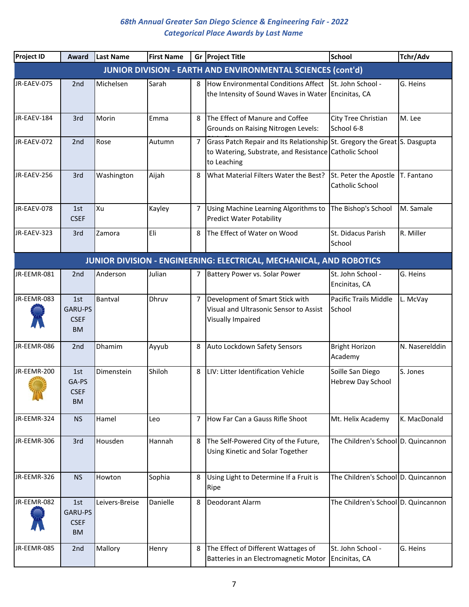| <b>Project ID</b> | Award                                      | <b>Last Name</b> | <b>First Name</b> |                | Gr Project Title                                                                                                                                   | <b>School</b>                            | Tchr/Adv       |
|-------------------|--------------------------------------------|------------------|-------------------|----------------|----------------------------------------------------------------------------------------------------------------------------------------------------|------------------------------------------|----------------|
|                   |                                            |                  |                   |                | <b>JUNIOR DIVISION - EARTH AND ENVIRONMENTAL SCIENCES (cont'd)</b>                                                                                 |                                          |                |
| JR-EAEV-075       | 2 <sub>nd</sub>                            | Michelsen        | Sarah             | 8              | How Environmental Conditions Affect<br>the Intensity of Sound Waves in Water Encinitas, CA                                                         | St. John School -                        | G. Heins       |
| JR-EAEV-184       | 3rd                                        | Morin            | Emma              | 8              | The Effect of Manure and Coffee<br><b>Grounds on Raising Nitrogen Levels:</b>                                                                      | City Tree Christian<br>School 6-8        | M. Lee         |
| JR-EAEV-072       | 2nd                                        | Rose             | Autumn            | 7              | Grass Patch Repair and Its Relationship St. Gregory the Great S. Dasgupta<br>to Watering, Substrate, and Resistance Catholic School<br>to Leaching |                                          |                |
| JR-EAEV-256       | 3rd                                        | Washington       | Aijah             | 8              | What Material Filters Water the Best?                                                                                                              | St. Peter the Apostle<br>Catholic School | T. Fantano     |
| JR-EAEV-078       | 1st<br><b>CSEF</b>                         | Xu               | Kayley            | $\overline{7}$ | Using Machine Learning Algorithms to<br><b>Predict Water Potability</b>                                                                            | The Bishop's School                      | M. Samale      |
| JR-EAEV-323       | 3rd                                        | Zamora           | Eli               | 8              | The Effect of Water on Wood                                                                                                                        | St. Didacus Parish<br>School             | R. Miller      |
|                   |                                            |                  |                   |                | JUNIOR DIVISION - ENGINEERING: ELECTRICAL, MECHANICAL, AND ROBOTICS                                                                                |                                          |                |
| JR-EEMR-081       | 2nd                                        | Anderson         | Julian            | 7              | Battery Power vs. Solar Power                                                                                                                      | St. John School -<br>Encinitas, CA       | G. Heins       |
| JR-EEMR-083       | 1st<br>GARU-PS<br><b>CSEF</b><br><b>BM</b> | Bantval          | Dhruv             | 7              | Development of Smart Stick with<br>Visual and Ultrasonic Sensor to Assist<br>Visually Impaired                                                     | Pacific Trails Middle<br>School          | L. McVay       |
| JR-EEMR-086       | 2nd                                        | Dhamim           | Ayyub             | 8              | Auto Lockdown Safety Sensors                                                                                                                       | <b>Bright Horizon</b><br>Academy         | N. Naserelddin |
| JR-EEMR-200       | 1st<br>GA-PS<br><b>CSEF</b><br><b>BM</b>   | Dimenstein       | Shiloh            | 8              | LIV: Litter Identification Vehicle                                                                                                                 | Soille San Diego<br>Hebrew Day School    | S. Jones       |
| JR-EEMR-324       | <b>NS</b>                                  | Hamel            | Leo               | 7              | How Far Can a Gauss Rifle Shoot                                                                                                                    | Mt. Helix Academy                        | K. MacDonald   |
| JR-EEMR-306       | 3rd                                        | Housden          | Hannah            | 8              | The Self-Powered City of the Future,<br>Using Kinetic and Solar Together                                                                           | The Children's School D. Quincannon      |                |
| JR-EEMR-326       | <b>NS</b>                                  | Howton           | Sophia            | 8              | Using Light to Determine If a Fruit is<br>Ripe                                                                                                     | The Children's School D. Quincannon      |                |
| JR-EEMR-082       | 1st<br>GARU-PS<br><b>CSEF</b><br><b>BM</b> | Leivers-Breise   | Danielle          | 8              | Deodorant Alarm                                                                                                                                    | The Children's School D. Quincannon      |                |
| JR-EEMR-085       | 2nd                                        | Mallory          | Henry             | 8              | The Effect of Different Wattages of<br>Batteries in an Electromagnetic Motor                                                                       | St. John School -<br>Encinitas, CA       | G. Heins       |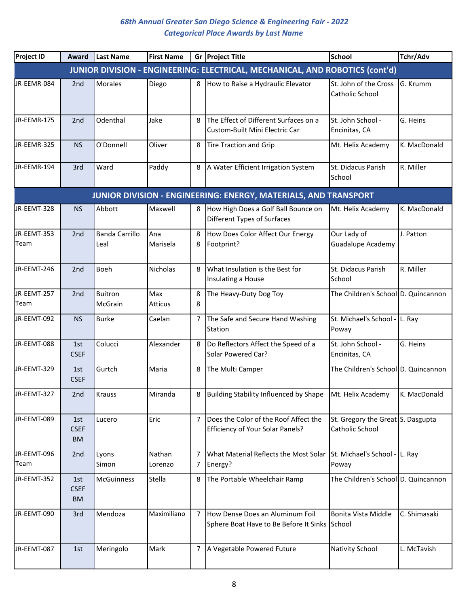| <b>Project ID</b>   | Award                           | Last Name                     | <b>First Name</b> |                | Gr Project Title                                                                 | <b>School</b>                                        | Tchr/Adv     |
|---------------------|---------------------------------|-------------------------------|-------------------|----------------|----------------------------------------------------------------------------------|------------------------------------------------------|--------------|
|                     |                                 |                               |                   |                | JUNIOR DIVISION - ENGINEERING: ELECTRICAL, MECHANICAL, AND ROBOTICS (cont'd)     |                                                      |              |
| JR-EEMR-084         | 2nd                             | <b>Morales</b>                | Diego             | 8              | How to Raise a Hydraulic Elevator                                                | St. John of the Cross<br>Catholic School             | G. Krumm     |
| JR-EEMR-175         | 2nd                             | Odenthal                      | Jake              | 8              | The Effect of Different Surfaces on a<br>Custom-Built Mini Electric Car          | St. John School -<br>Encinitas, CA                   | G. Heins     |
| JR-EEMR-325         | <b>NS</b>                       | O'Donnell                     | Oliver            | 8              | <b>Tire Traction and Grip</b>                                                    | Mt. Helix Academy                                    | K. MacDonald |
| JR-EEMR-194         | 3rd                             | Ward                          | Paddy             | 8              | A Water Efficient Irrigation System                                              | St. Didacus Parish<br>School                         | R. Miller    |
|                     |                                 |                               |                   |                | JUNIOR DIVISION - ENGINEERING: ENERGY, MATERIALS, AND TRANSPORT                  |                                                      |              |
| JR-EEMT-328         | <b>NS</b>                       | Abbott                        | Maxwell           | 8              | How High Does a Golf Ball Bounce on<br>Different Types of Surfaces               | Mt. Helix Academy                                    | K. MacDonald |
| JR-EEMT-353<br>Team | 2nd                             | <b>Banda Carrillo</b><br>Leal | Ana<br>Marisela   | 8<br>8         | How Does Color Affect Our Energy<br>Footprint?                                   | Our Lady of<br>Guadalupe Academy                     | J. Patton    |
| JR-EEMT-246         | 2nd                             | Boeh                          | <b>Nicholas</b>   | 8              | What Insulation is the Best for<br>Insulating a House                            | St. Didacus Parish<br>School                         | R. Miller    |
| JR-EEMT-257<br>Team | 2nd                             | <b>Buitron</b><br>McGrain     | Max<br>Atticus    | 8<br>8         | The Heavy-Duty Dog Toy                                                           | The Children's School D. Quincannon                  |              |
| JR-EEMT-092         | <b>NS</b>                       | <b>Burke</b>                  | Caelan            | 7              | The Safe and Secure Hand Washing<br>Station                                      | St. Michael's School - L. Ray<br>Poway               |              |
| JR-EEMT-088         | 1st<br><b>CSEF</b>              | Colucci                       | Alexander         | 8              | Do Reflectors Affect the Speed of a<br>Solar Powered Car?                        | St. John School -<br>Encinitas, CA                   | G. Heins     |
| JR-EEMT-329         | 1st<br><b>CSEF</b>              | Gurtch                        | Maria             | 8              | The Multi Camper                                                                 | The Children's School D. Quincannon                  |              |
| JR-EEMT-327         | 2 <sub>nd</sub>                 | Krauss                        | Miranda           | 8              | Building Stability Influenced by Shape                                           | Mt. Helix Academy                                    | K. MacDonald |
| JR-EEMT-089         | 1st<br><b>CSEF</b><br><b>BM</b> | Lucero                        | Eric              | $\overline{7}$ | Does the Color of the Roof Affect the<br><b>Efficiency of Your Solar Panels?</b> | St. Gregory the Great S. Dasgupta<br>Catholic School |              |
| JR-EEMT-096         | 2nd                             | Lyons                         | Nathan            | 7              | What Material Reflects the Most Solar                                            | St. Michael's School - L. Ray                        |              |
| Team                |                                 | Simon                         | Lorenzo           | 7              | Energy?                                                                          | Poway                                                |              |
| JR-EEMT-352         | 1st<br><b>CSEF</b><br><b>BM</b> | <b>McGuinness</b>             | Stella            | 8              | The Portable Wheelchair Ramp                                                     | The Children's School D. Quincannon                  |              |
| JR-EEMT-090         | 3rd                             | Mendoza                       | Maximiliano       | 7              | How Dense Does an Aluminum Foil<br>Sphere Boat Have to Be Before It Sinks School | Bonita Vista Middle                                  | C. Shimasaki |
| JR-EEMT-087         | 1st                             | Meringolo                     | Mark              | $\overline{7}$ | A Vegetable Powered Future                                                       | <b>Nativity School</b>                               | L. McTavish  |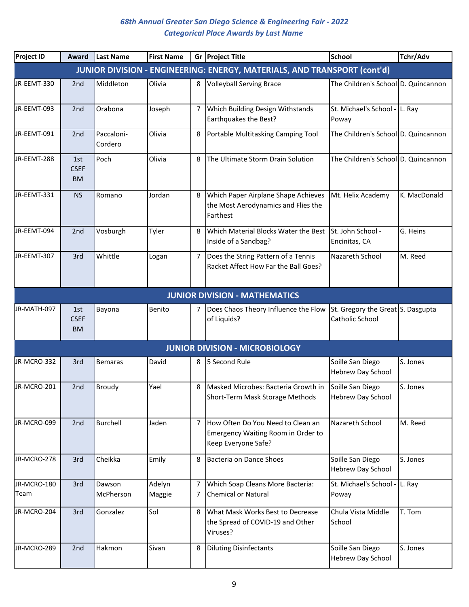| <b>Project ID</b>   | <b>Award</b>                    | Last Name             | <b>First Name</b> |        | Gr Project Title                                                                               | <b>School</b>                                        | Tchr/Adv     |
|---------------------|---------------------------------|-----------------------|-------------------|--------|------------------------------------------------------------------------------------------------|------------------------------------------------------|--------------|
|                     |                                 |                       |                   |        | JUNIOR DIVISION - ENGINEERING: ENERGY, MATERIALS, AND TRANSPORT (cont'd)                       |                                                      |              |
| JR-EEMT-330         | 2 <sub>nd</sub>                 | Middleton             | Olivia            | 8      | <b>Volleyball Serving Brace</b>                                                                | The Children's School D. Quincannon                  |              |
| JR-EEMT-093         | 2nd                             | Orabona               | Joseph            | 7      | <b>Which Building Design Withstands</b><br>Earthquakes the Best?                               | St. Michael's School - L. Ray<br>Poway               |              |
| JR-EEMT-091         | 2 <sub>nd</sub>                 | Paccaloni-<br>Cordero | Olivia            | 8      | Portable Multitasking Camping Tool                                                             | The Children's School D. Quincannon                  |              |
| JR-EEMT-288         | 1st<br><b>CSEF</b><br><b>BM</b> | Poch                  | Olivia            | 8      | The Ultimate Storm Drain Solution                                                              | The Children's School D. Quincannon                  |              |
| JR-EEMT-331         | <b>NS</b>                       | Romano                | Jordan            | 8      | Which Paper Airplane Shape Achieves<br>the Most Aerodynamics and Flies the<br>Farthest         | Mt. Helix Academy                                    | K. MacDonald |
| JR-EEMT-094         | 2nd                             | Vosburgh              | Tyler             | 8      | Which Material Blocks Water the Best<br>Inside of a Sandbag?                                   | St. John School -<br>Encinitas, CA                   | G. Heins     |
| JR-EEMT-307         | 3rd                             | Whittle               | Logan             | 7      | Does the String Pattern of a Tennis<br>Racket Affect How Far the Ball Goes?                    | Nazareth School                                      | M. Reed      |
|                     |                                 |                       |                   |        | <b>JUNIOR DIVISION - MATHEMATICS</b>                                                           |                                                      |              |
| JR-MATH-097         | 1st<br><b>CSEF</b><br><b>BM</b> | Bayona                | Benito            | 7      | Does Chaos Theory Influence the Flow<br>of Liquids?                                            | St. Gregory the Great S. Dasgupta<br>Catholic School |              |
|                     |                                 |                       |                   |        | <b>JUNIOR DIVISION - MICROBIOLOGY</b>                                                          |                                                      |              |
| JR-MCRO-332         | 3rd                             | <b>Bemaras</b>        | David             | 8      | 5 Second Rule                                                                                  | Soille San Diego<br><b>Hebrew Day School</b>         | S. Jones     |
| JR-MCRO-201         | 2nd                             | <b>Broudy</b>         | Yael              | 8      | Masked Microbes: Bacteria Growth in<br>Short-Term Mask Storage Methods                         | Soille San Diego<br><b>Hebrew Day School</b>         | S. Jones     |
| JR-MCRO-099         | 2nd                             | <b>Burchell</b>       | Jaden             | 7      | How Often Do You Need to Clean an<br>Emergency Waiting Room in Order to<br>Keep Everyone Safe? | Nazareth School                                      | M. Reed      |
| JR-MCRO-278         | 3rd                             | Cheikka               | Emily             | 8      | Bacteria on Dance Shoes                                                                        | Soille San Diego<br>Hebrew Day School                | S. Jones     |
| JR-MCRO-180<br>Team | 3rd                             | Dawson<br>McPherson   | Adelyn<br>Maggie  | 7<br>7 | Which Soap Cleans More Bacteria:<br><b>Chemical or Natural</b>                                 | St. Michael's School -<br>Poway                      | L. Ray       |
| JR-MCRO-204         | 3rd                             | Gonzalez              | Sol               | 8      | What Mask Works Best to Decrease<br>the Spread of COVID-19 and Other<br>Viruses?               | Chula Vista Middle<br>School                         | T. Tom       |
| JR-MCRO-289         | 2 <sub>nd</sub>                 | Hakmon                | Sivan             | 8      | <b>Diluting Disinfectants</b>                                                                  | Soille San Diego<br><b>Hebrew Day School</b>         | S. Jones     |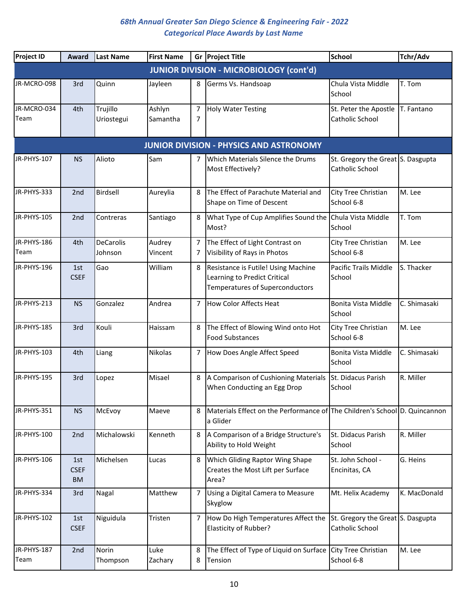| <b>Project ID</b>   | Award                           | Last Name                   | <b>First Name</b>  |        | Gr Project Title                                                                                       | <b>School</b>                                        | Tchr/Adv     |
|---------------------|---------------------------------|-----------------------------|--------------------|--------|--------------------------------------------------------------------------------------------------------|------------------------------------------------------|--------------|
|                     |                                 |                             |                    |        | <b>JUNIOR DIVISION - MICROBIOLOGY (cont'd)</b>                                                         |                                                      |              |
| JR-MCRO-098         | 3rd                             | Quinn                       | Jayleen            | 8      | Germs Vs. Handsoap                                                                                     | Chula Vista Middle<br>School                         | T. Tom       |
| JR-MCRO-034<br>Team | 4th                             | Trujillo<br>Uriostegui      | Ashlyn<br>Samantha | 7<br>7 | <b>Holy Water Testing</b>                                                                              | St. Peter the Apostle<br>Catholic School             | T. Fantano   |
|                     |                                 |                             |                    |        | <b>JUNIOR DIVISION - PHYSICS AND ASTRONOMY</b>                                                         |                                                      |              |
| JR-PHYS-107         | <b>NS</b>                       | Alioto                      | Sam                | 7      | Which Materials Silence the Drums<br>Most Effectively?                                                 | St. Gregory the Great S. Dasgupta<br>Catholic School |              |
| JR-PHYS-333         | 2nd                             | Birdsell                    | Aureylia           | 8      | The Effect of Parachute Material and<br>Shape on Time of Descent                                       | City Tree Christian<br>School 6-8                    | M. Lee       |
| JR-PHYS-105         | 2nd                             | Contreras                   | Santiago           | 8      | What Type of Cup Amplifies Sound the Chula Vista Middle<br>Most?                                       | School                                               | T. Tom       |
| JR-PHYS-186<br>Team | 4th                             | <b>DeCarolis</b><br>Johnson | Audrey<br>Vincent  | 7<br>7 | The Effect of Light Contrast on<br>Visibility of Rays in Photos                                        | City Tree Christian<br>School 6-8                    | M. Lee       |
| JR-PHYS-196         | 1st<br><b>CSEF</b>              | Gao                         | William            | 8      | Resistance is Futile! Using Machine<br>Learning to Predict Critical<br>Temperatures of Superconductors | Pacific Trails Middle<br>School                      | S. Thacker   |
| JR-PHYS-213         | <b>NS</b>                       | Gonzalez                    | Andrea             | 7      | <b>How Color Affects Heat</b>                                                                          | Bonita Vista Middle<br>School                        | C. Shimasaki |
| JR-PHYS-185         | 3rd                             | Kouli                       | Haissam            | 8      | The Effect of Blowing Wind onto Hot<br><b>Food Substances</b>                                          | City Tree Christian<br>School 6-8                    | M. Lee       |
| JR-PHYS-103         | 4th                             | Liang                       | Nikolas            | 7      | How Does Angle Affect Speed                                                                            | Bonita Vista Middle<br>School                        | C. Shimasaki |
| JR-PHYS-195         | 3rd                             | Lopez                       | Misael             | 8      | A Comparison of Cushioning Materials<br>When Conducting an Egg Drop                                    | St. Didacus Parish<br>School                         | R. Miller    |
| JR-PHYS-351         | <b>NS</b>                       | McEvoy                      | Maeve              | 8      | Materials Effect on the Performance of The Children's School D. Quincannon<br>a Glider                 |                                                      |              |
| JR-PHYS-100         | 2nd                             | Michalowski                 | Kenneth            | 8      | A Comparison of a Bridge Structure's<br>Ability to Hold Weight                                         | St. Didacus Parish<br>School                         | R. Miller    |
| JR-PHYS-106         | 1st<br><b>CSEF</b><br><b>BM</b> | Michelsen                   | Lucas              | 8      | <b>Which Gliding Raptor Wing Shape</b><br>Creates the Most Lift per Surface<br>Area?                   | St. John School -<br>Encinitas, CA                   | G. Heins     |
| JR-PHYS-334         | 3rd                             | Nagal                       | Matthew            | 7      | Using a Digital Camera to Measure<br>Skyglow                                                           | Mt. Helix Academy                                    | K. MacDonald |
| JR-PHYS-102         | 1st<br><b>CSEF</b>              | Niguidula                   | Tristen            | 7      | How Do High Temperatures Affect the<br>Elasticity of Rubber?                                           | St. Gregory the Great S. Dasgupta<br>Catholic School |              |
| JR-PHYS-187<br>Team | 2nd                             | Norin<br>Thompson           | Luke<br>Zachary    | 8<br>8 | The Effect of Type of Liquid on Surface<br>Tension                                                     | City Tree Christian<br>School 6-8                    | M. Lee       |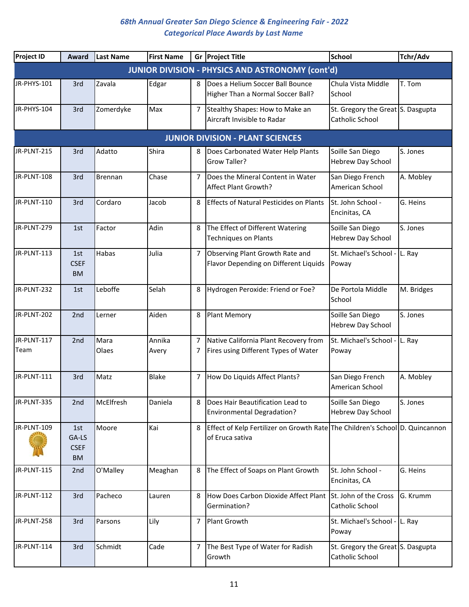| <b>Project ID</b>   | Award                                    | Last Name      | <b>First Name</b> |        | Gr Project Title                                                                                | <b>School</b>                                        | Tchr/Adv   |
|---------------------|------------------------------------------|----------------|-------------------|--------|-------------------------------------------------------------------------------------------------|------------------------------------------------------|------------|
|                     |                                          |                |                   |        | <b>JUNIOR DIVISION - PHYSICS AND ASTRONOMY (cont'd)</b>                                         |                                                      |            |
| JR-PHYS-101         | 3rd                                      | Zavala         | Edgar             | 8      | Does a Helium Soccer Ball Bounce<br>Higher Than a Normal Soccer Ball?                           | Chula Vista Middle<br>School                         | T. Tom     |
| JR-PHYS-104         | 3rd                                      | Zomerdyke      | Max               | 7      | Stealthy Shapes: How to Make an<br>Aircraft Invisible to Radar                                  | St. Gregory the Great S. Dasgupta<br>Catholic School |            |
|                     |                                          |                |                   |        | <b>JUNIOR DIVISION - PLANT SCIENCES</b>                                                         |                                                      |            |
| JR-PLNT-215         | 3rd                                      | Adatto         | Shira             | 8      | Does Carbonated Water Help Plants<br>Grow Taller?                                               | Soille San Diego<br>Hebrew Day School                | S. Jones   |
| JR-PLNT-108         | 3rd                                      | <b>Brennan</b> | Chase             | 7      | Does the Mineral Content in Water<br>Affect Plant Growth?                                       | San Diego French<br>American School                  | A. Mobley  |
| JR-PLNT-110         | 3rd                                      | Cordaro        | Jacob             | 8      | <b>Effects of Natural Pesticides on Plants</b>                                                  | St. John School -<br>Encinitas, CA                   | G. Heins   |
| JR-PLNT-279         | 1st                                      | Factor         | Adin              | 8      | The Effect of Different Watering<br><b>Techniques on Plants</b>                                 | Soille San Diego<br><b>Hebrew Day School</b>         | S. Jones   |
| JR-PLNT-113         | 1st<br><b>CSEF</b><br><b>BM</b>          | Habas          | Julia             | 7      | Observing Plant Growth Rate and<br>Flavor Depending on Different Liquids                        | St. Michael's School -<br>Poway                      | L. Ray     |
| JR-PLNT-232         | 1st                                      | Leboffe        | Selah             | 8      | Hydrogen Peroxide: Friend or Foe?                                                               | De Portola Middle<br>School                          | M. Bridges |
| JR-PLNT-202         | 2nd                                      | Lerner         | Aiden             | 8      | <b>Plant Memory</b>                                                                             | Soille San Diego<br>Hebrew Day School                | S. Jones   |
| JR-PLNT-117<br>Team | 2nd                                      | Mara<br>Olaes  | Annika<br>Avery   | 7<br>7 | Native California Plant Recovery from<br>Fires using Different Types of Water                   | St. Michael's School -<br>Poway                      | L. Ray     |
| JR-PLNT-111         | 3rd                                      | Matz           | <b>Blake</b>      | 7      | How Do Liquids Affect Plants?                                                                   | San Diego French<br>American School                  | A. Mobley  |
| JR-PLNT-335         | 2nd                                      | McElfresh      | Daniela           | 8      | Does Hair Beautification Lead to<br><b>Environmental Degradation?</b>                           | Soille San Diego<br>Hebrew Day School                | S. Jones   |
| JR-PLNT-109         | 1st<br>GA-LS<br><b>CSEF</b><br><b>BM</b> | Moore          | Kai               | 8      | Effect of Kelp Fertilizer on Growth Rate The Children's School D. Quincannon<br>of Eruca sativa |                                                      |            |
| JR-PLNT-115         | 2nd                                      | O'Malley       | Meaghan           | 8      | The Effect of Soaps on Plant Growth                                                             | St. John School -<br>Encinitas, CA                   | G. Heins   |
| JR-PLNT-112         | 3rd                                      | Pacheco        | Lauren            | 8      | How Does Carbon Dioxide Affect Plant<br>Germination?                                            | St. John of the Cross<br>Catholic School             | G. Krumm   |
| JR-PLNT-258         | 3rd                                      | Parsons        | Lily              | 7      | Plant Growth                                                                                    | St. Michael's School - L. Ray<br>Poway               |            |
| JR-PLNT-114         | 3rd                                      | Schmidt        | Cade              | 7      | The Best Type of Water for Radish<br>Growth                                                     | St. Gregory the Great S. Dasgupta<br>Catholic School |            |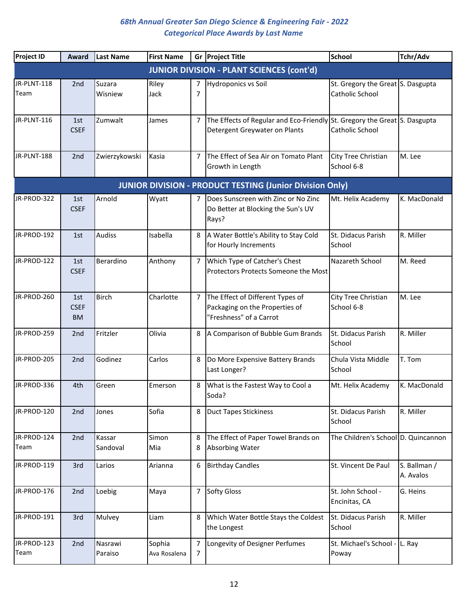| Project ID          | Award                           | <b>Last Name</b>   | <b>First Name</b>      |        | Gr Project Title                                                                                           | <b>School</b>                                        | Tchr/Adv                  |
|---------------------|---------------------------------|--------------------|------------------------|--------|------------------------------------------------------------------------------------------------------------|------------------------------------------------------|---------------------------|
|                     |                                 |                    |                        |        | <b>JUNIOR DIVISION - PLANT SCIENCES (cont'd)</b>                                                           |                                                      |                           |
| JR-PLNT-118<br>Team | 2nd                             | Suzara<br>Wisniew  | Riley<br>Jack          | 7<br>7 | <b>Hydroponics vs Soil</b>                                                                                 | St. Gregory the Great S. Dasgupta<br>Catholic School |                           |
| JR-PLNT-116         | 1st<br><b>CSEF</b>              | Zumwalt            | James                  | 7      | The Effects of Regular and Eco-Friendly St. Gregory the Great S. Dasgupta<br>Detergent Greywater on Plants | Catholic School                                      |                           |
| JR-PLNT-188         | 2nd                             | Zwierzykowski      | Kasia                  | 7      | The Effect of Sea Air on Tomato Plant<br>Growth in Length                                                  | City Tree Christian<br>School 6-8                    | M. Lee                    |
|                     |                                 |                    |                        |        | <b>JUNIOR DIVISION - PRODUCT TESTING (Junior Division Only)</b>                                            |                                                      |                           |
| JR-PROD-322         | 1st<br><b>CSEF</b>              | Arnold             | Wyatt                  | 7      | Does Sunscreen with Zinc or No Zinc<br>Do Better at Blocking the Sun's UV<br>Rays?                         | Mt. Helix Academy                                    | K. MacDonald              |
| JR-PROD-192         | 1st                             | <b>Audiss</b>      | Isabella               | 8      | A Water Bottle's Ability to Stay Cold<br>for Hourly Increments                                             | St. Didacus Parish<br>School                         | R. Miller                 |
| JR-PROD-122         | 1st<br><b>CSEF</b>              | Berardino          | Anthony                | 7      | Which Type of Catcher's Chest<br>Protectors Protects Someone the Most                                      | Nazareth School                                      | M. Reed                   |
| JR-PROD-260         | 1st<br><b>CSEF</b><br><b>BM</b> | <b>Birch</b>       | Charlotte              | 7      | The Effect of Different Types of<br>Packaging on the Properties of<br>"Freshness" of a Carrot              | City Tree Christian<br>School 6-8                    | M. Lee                    |
| JR-PROD-259         | 2nd                             | Fritzler           | Olivia                 | 8      | A Comparison of Bubble Gum Brands                                                                          | St. Didacus Parish<br>School                         | R. Miller                 |
| JR-PROD-205         | 2nd                             | Godinez            | Carlos                 | 8      | Do More Expensive Battery Brands<br>Last Longer?                                                           | Chula Vista Middle<br>School                         | T. Tom                    |
| JR-PROD-336         | 4th                             | Green              | Emerson                | 8      | What is the Fastest Way to Cool a<br>Soda?                                                                 | Mt. Helix Academy                                    | K. MacDonald              |
| JR-PROD-120         | 2nd                             | Jones              | Sofia                  | 8      | <b>Duct Tapes Stickiness</b>                                                                               | St. Didacus Parish<br>School                         | R. Miller                 |
| JR-PROD-124<br>Team | 2nd                             | Kassar<br>Sandoval | Simon<br>Mia           | 8<br>8 | The Effect of Paper Towel Brands on<br>Absorbing Water                                                     | The Children's School D. Quincannon                  |                           |
| JR-PROD-119         | 3rd                             | Larios             | Arianna                | 6      | <b>Birthday Candles</b>                                                                                    | St. Vincent De Paul                                  | S. Ballman /<br>A. Avalos |
| JR-PROD-176         | 2nd                             | Loebig             | Maya                   | 7      | <b>Softy Gloss</b>                                                                                         | St. John School -<br>Encinitas, CA                   | G. Heins                  |
| JR-PROD-191         | 3rd                             | Mulvey             | Liam                   | 8      | Which Water Bottle Stays the Coldest<br>the Longest                                                        | St. Didacus Parish<br>School                         | R. Miller                 |
| JR-PROD-123<br>Team | 2nd                             | Nasrawi<br>Paraiso | Sophia<br>Ava Rosalena | 7<br>7 | Longevity of Designer Perfumes                                                                             | St. Michael's School -<br>Poway                      | L. Ray                    |